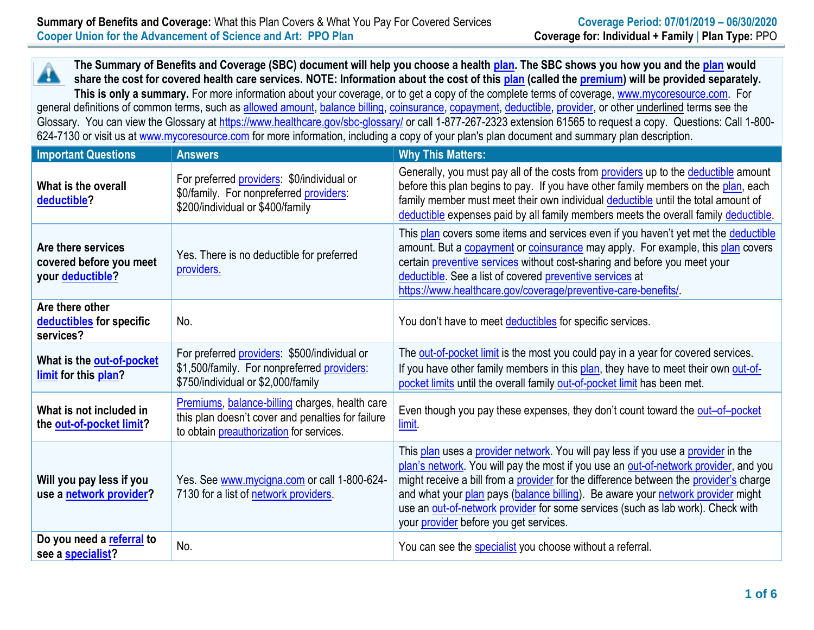**The Summary of Benefits and Coverage (SBC) document will help you choose a health [plan.](https://www.healthcare.gov/sbc-glossary/#plan) The SBC shows you how you and th[e plan](https://www.healthcare.gov/sbc-glossary/#plan) would** ÆÑ **share the cost for covered health care services. NOTE: Information about the cost of this [plan](https://www.healthcare.gov/sbc-glossary/#plan) (called the [premium\)](https://www.healthcare.gov/sbc-glossary/#premium) will be provided separately.** This is only a summary. For more information about your coverage, or to get a copy of the complete terms of coverage, [www.mycoresource.com.](http://www.mycoresource.com/) For general definitions of common terms, such as [allowed amount,](https://www.healthcare.gov/sbc-glossary/#allowed-amount) [balance billing,](https://www.healthcare.gov/sbc-glossary/#balance-billing) [coinsurance,](https://www.healthcare.gov/sbc-glossary/#coinsurance) [copayment,](https://www.healthcare.gov/sbc-glossary/#copayment) [deductible,](https://www.healthcare.gov/sbc-glossary/#deductible) [provider,](https://www.healthcare.gov/sbc-glossary/#provider) or other underlined terms see the Glossary. You can view the Glossary at<https://www.healthcare.gov/sbc-glossary/> or call 1-877-267-2323 extension 61565 to request a copy. Questions: Call 1-800-624-7130 or visit us at [www.mycoresource.com](http://www.mycoresource.com/) for more information, including a copy of your plan's plan document and summary plan description.

| <b>Important Questions</b>                                        | <b>Answers</b>                                                                                                                                         | <b>Why This Matters:</b>                                                                                                                                                                                                                                                                                                                                                                                                                                                           |
|-------------------------------------------------------------------|--------------------------------------------------------------------------------------------------------------------------------------------------------|------------------------------------------------------------------------------------------------------------------------------------------------------------------------------------------------------------------------------------------------------------------------------------------------------------------------------------------------------------------------------------------------------------------------------------------------------------------------------------|
| What is the overall<br>deductible?                                | For preferred providers: \$0/individual or<br>\$0/family. For nonpreferred providers:<br>\$200/individual or \$400/family                              | Generally, you must pay all of the costs from providers up to the deductible amount<br>before this plan begins to pay. If you have other family members on the plan, each<br>family member must meet their own individual deductible until the total amount of<br>deductible expenses paid by all family members meets the overall family deductible.                                                                                                                              |
| Are there services<br>covered before you meet<br>your deductible? | Yes. There is no deductible for preferred<br>providers.                                                                                                | This plan covers some items and services even if you haven't yet met the deductible<br>amount. But a <b>copayment</b> or <b>coinsurance</b> may apply. For example, this plan covers<br>certain preventive services without cost-sharing and before you meet your<br>deductible. See a list of covered preventive services at<br>https://www.healthcare.gov/coverage/preventive-care-benefits/                                                                                     |
| Are there other<br>deductibles for specific<br>services?          | No.                                                                                                                                                    | You don't have to meet deductibles for specific services.                                                                                                                                                                                                                                                                                                                                                                                                                          |
| What is the out-of-pocket<br>limit for this plan?                 | For preferred providers: \$500/individual or<br>\$1,500/family. For nonpreferred providers:<br>\$750/individual or \$2,000/family                      | The out-of-pocket limit is the most you could pay in a year for covered services.<br>If you have other family members in this plan, they have to meet their own out-of-<br>pocket limits until the overall family out-of-pocket limit has been met.                                                                                                                                                                                                                                |
| What is not included in<br>the out-of-pocket limit?               | Premiums, balance-billing charges, health care<br>this plan doesn't cover and penalties for failure<br>to obtain <i>preauthorization</i> for services. | Even though you pay these expenses, they don't count toward the out-of-pocket<br>limit                                                                                                                                                                                                                                                                                                                                                                                             |
| Will you pay less if you<br>use a network provider?               | Yes. See www.mycigna.com or call 1-800-624-<br>7130 for a list of network providers.                                                                   | This plan uses a provider network. You will pay less if you use a provider in the<br>plan's network. You will pay the most if you use an out-of-network provider, and you<br>might receive a bill from a provider for the difference between the provider's charge<br>and what your plan pays (balance billing). Be aware your network provider might<br>use an out-of-network provider for some services (such as lab work). Check with<br>your provider before you get services. |
| Do you need a referral to<br>see a specialist?                    | No.                                                                                                                                                    | You can see the specialist you choose without a referral.                                                                                                                                                                                                                                                                                                                                                                                                                          |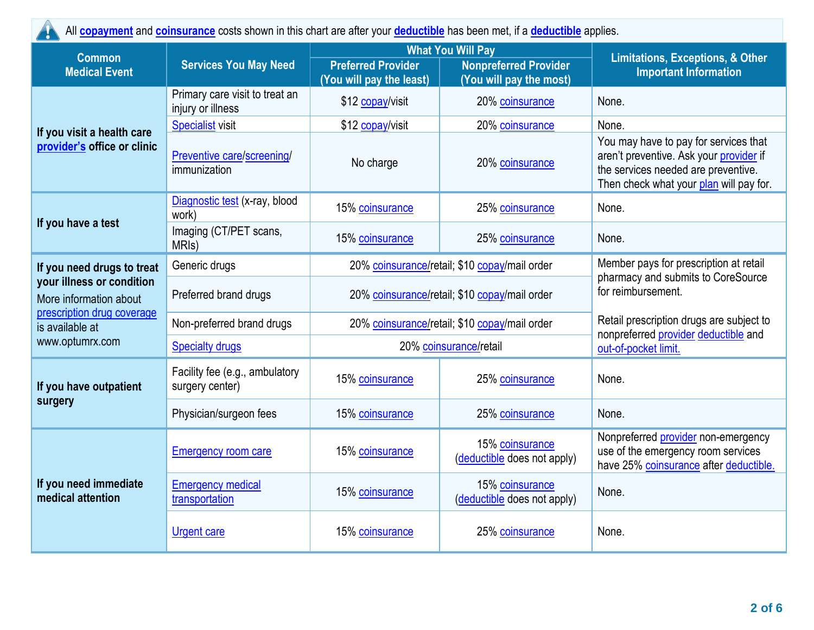All **[copayment](https://www.healthcare.gov/sbc-glossary/#copayment)** and **[coinsurance](https://www.healthcare.gov/sbc-glossary/#coinsurance)** costs shown in this chart are after your **[deductible](https://www.healthcare.gov/sbc-glossary/#deductible)** has been met, if a **[deductible](https://www.healthcare.gov/sbc-glossary/#deductible)** applies. 44

| <b>Common</b>                                                                     |                                                     | <b>What You Will Pay</b>                              |                                                         | <b>Limitations, Exceptions, &amp; Other</b>                                                                                                                        |
|-----------------------------------------------------------------------------------|-----------------------------------------------------|-------------------------------------------------------|---------------------------------------------------------|--------------------------------------------------------------------------------------------------------------------------------------------------------------------|
| <b>Medical Event</b>                                                              | <b>Services You May Need</b>                        | <b>Preferred Provider</b><br>(You will pay the least) | <b>Nonpreferred Provider</b><br>(You will pay the most) | <b>Important Information</b>                                                                                                                                       |
|                                                                                   | Primary care visit to treat an<br>injury or illness | \$12 copay/visit                                      | 20% coinsurance                                         | None.                                                                                                                                                              |
|                                                                                   | <b>Specialist visit</b>                             | \$12 copay/visit                                      | 20% coinsurance                                         | None.                                                                                                                                                              |
| If you visit a health care<br>provider's office or clinic                         | Preventive care/screening/<br>immunization          | No charge                                             | 20% coinsurance                                         | You may have to pay for services that<br>aren't preventive. Ask your provider if<br>the services needed are preventive.<br>Then check what your plan will pay for. |
|                                                                                   | Diagnostic test (x-ray, blood<br>work)              | 15% coinsurance                                       | 25% coinsurance                                         | None.                                                                                                                                                              |
| If you have a test                                                                | Imaging (CT/PET scans,<br>MRI <sub>s</sub> )        | 15% coinsurance                                       | 25% coinsurance                                         | None.                                                                                                                                                              |
| If you need drugs to treat                                                        | Generic drugs                                       | 20% coinsurance/retail; \$10 copay/mail order         |                                                         | Member pays for prescription at retail<br>pharmacy and submits to CoreSource<br>for reimbursement.                                                                 |
| your illness or condition<br>More information about<br>prescription drug coverage | Preferred brand drugs                               | 20% coinsurance/retail; \$10 copay/mail order         |                                                         |                                                                                                                                                                    |
| is available at                                                                   | Non-preferred brand drugs                           | 20% coinsurance/retail; \$10 copay/mail order         |                                                         | Retail prescription drugs are subject to<br>nonpreferred provider deductible and                                                                                   |
| www.optumrx.com                                                                   | <b>Specialty drugs</b>                              | 20% coinsurance/retail                                |                                                         | out-of-pocket limit.                                                                                                                                               |
| If you have outpatient                                                            | Facility fee (e.g., ambulatory<br>surgery center)   | 15% coinsurance                                       | 25% coinsurance                                         | None.                                                                                                                                                              |
| surgery                                                                           | Physician/surgeon fees                              | 15% coinsurance                                       | 25% coinsurance                                         | None.                                                                                                                                                              |
| If you need immediate<br>medical attention                                        | <b>Emergency room care</b>                          | 15% coinsurance                                       | 15% coinsurance<br>(deductible does not apply)          | Nonpreferred provider non-emergency<br>use of the emergency room services<br>have 25% coinsurance after deductible.                                                |
|                                                                                   | <b>Emergency medical</b><br>transportation          | 15% coinsurance                                       | 15% coinsurance<br>(deductible does not apply)          | None.                                                                                                                                                              |
|                                                                                   | <b>Urgent care</b>                                  | 15% coinsurance                                       | 25% coinsurance                                         | None.                                                                                                                                                              |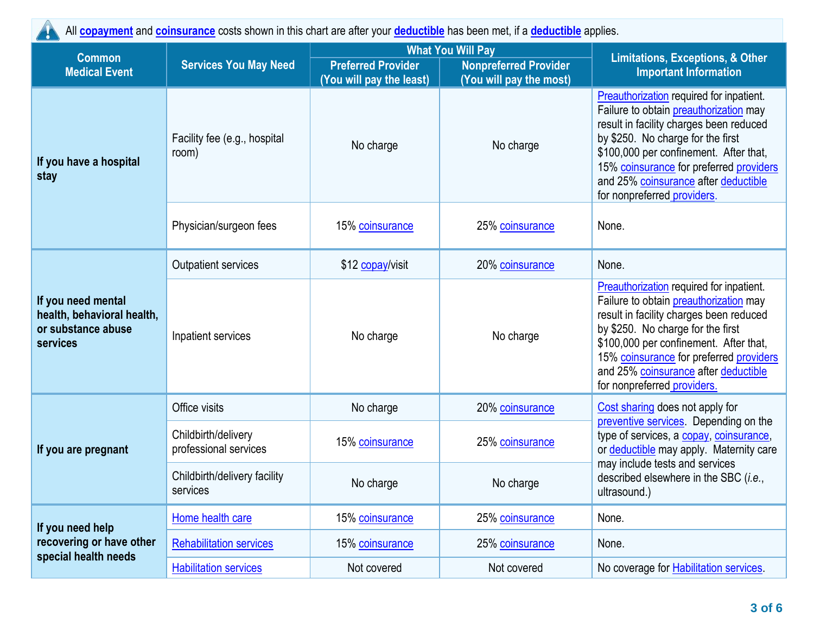All **[copayment](https://www.healthcare.gov/sbc-glossary/#copayment)** and **[coinsurance](https://www.healthcare.gov/sbc-glossary/#coinsurance)** costs shown in this chart are after your **[deductible](https://www.healthcare.gov/sbc-glossary/#deductible)** has been met, if a **[deductible](https://www.healthcare.gov/sbc-glossary/#deductible)** applies.

| <b>Common</b>                                                                               |                                              | <b>What You Will Pay</b>                              |                                                         | <b>Limitations, Exceptions, &amp; Other</b>                                                                                                                                                                                                                                                                                    |  |
|---------------------------------------------------------------------------------------------|----------------------------------------------|-------------------------------------------------------|---------------------------------------------------------|--------------------------------------------------------------------------------------------------------------------------------------------------------------------------------------------------------------------------------------------------------------------------------------------------------------------------------|--|
| <b>Medical Event</b>                                                                        | <b>Services You May Need</b>                 | <b>Preferred Provider</b><br>(You will pay the least) | <b>Nonpreferred Provider</b><br>(You will pay the most) | <b>Important Information</b>                                                                                                                                                                                                                                                                                                   |  |
| If you have a hospital<br>stay                                                              | Facility fee (e.g., hospital<br>room)        | No charge                                             | No charge                                               | Preauthorization required for inpatient.<br>Failure to obtain preauthorization may<br>result in facility charges been reduced<br>by \$250. No charge for the first<br>\$100,000 per confinement. After that,<br>15% coinsurance for preferred providers<br>and 25% coinsurance after deductible<br>for nonpreferred providers. |  |
|                                                                                             | Physician/surgeon fees                       | 15% coinsurance                                       | 25% coinsurance                                         | None.                                                                                                                                                                                                                                                                                                                          |  |
|                                                                                             | <b>Outpatient services</b>                   | \$12 copay/visit                                      | 20% coinsurance                                         | None.                                                                                                                                                                                                                                                                                                                          |  |
| If you need mental<br>health, behavioral health,<br>or substance abuse<br>services          | Inpatient services                           | No charge                                             | No charge                                               | Preauthorization required for inpatient.<br>Failure to obtain preauthorization may<br>result in facility charges been reduced<br>by \$250. No charge for the first<br>\$100,000 per confinement. After that,<br>15% coinsurance for preferred providers<br>and 25% coinsurance after deductible<br>for nonpreferred providers. |  |
|                                                                                             | Office visits                                | No charge                                             | 20% coinsurance                                         | Cost sharing does not apply for                                                                                                                                                                                                                                                                                                |  |
| If you are pregnant<br>If you need help<br>recovering or have other<br>special health needs | Childbirth/delivery<br>professional services | 15% coinsurance                                       | 25% coinsurance                                         | preventive services. Depending on the<br>type of services, a copay, coinsurance,<br>or deductible may apply. Maternity care                                                                                                                                                                                                    |  |
|                                                                                             | Childbirth/delivery facility<br>services     | No charge                                             | No charge                                               | may include tests and services<br>described elsewhere in the SBC (i.e.,<br>ultrasound.)                                                                                                                                                                                                                                        |  |
|                                                                                             | Home health care                             | 15% coinsurance                                       | 25% coinsurance                                         | None.                                                                                                                                                                                                                                                                                                                          |  |
|                                                                                             | <b>Rehabilitation services</b>               | 15% coinsurance                                       | 25% coinsurance                                         | None.                                                                                                                                                                                                                                                                                                                          |  |
|                                                                                             | <b>Habilitation services</b>                 | Not covered                                           | Not covered                                             | No coverage for <b>Habilitation services</b> .                                                                                                                                                                                                                                                                                 |  |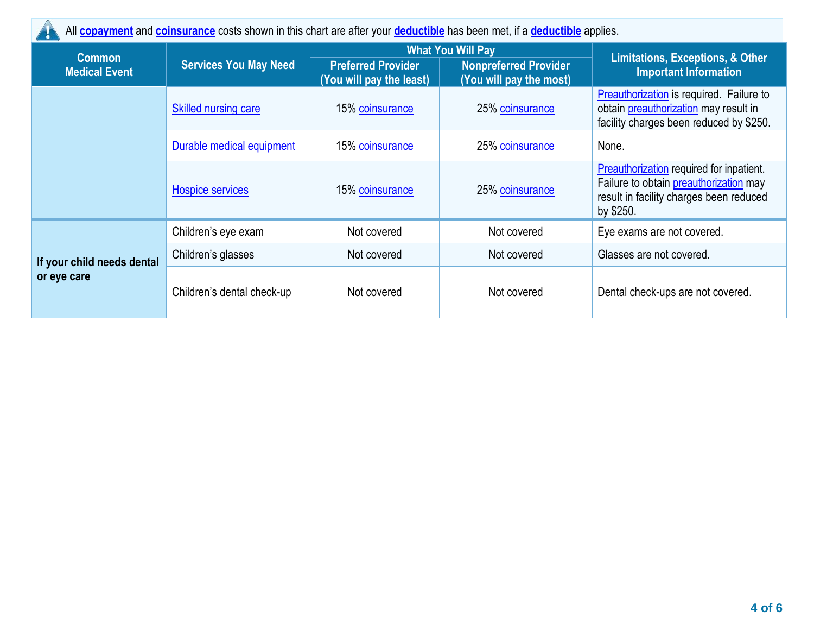All **[copayment](https://www.healthcare.gov/sbc-glossary/#copayment)** and **[coinsurance](https://www.healthcare.gov/sbc-glossary/#coinsurance)** costs shown in this chart are after your **[deductible](https://www.healthcare.gov/sbc-glossary/#deductible)** has been met, if a **[deductible](https://www.healthcare.gov/sbc-glossary/#deductible)** applies.

| <b>Common</b>                             |                              |                                                       | <b>What You Will Pay</b>                                | <b>Limitations, Exceptions, &amp; Other</b>                                                                                                       |
|-------------------------------------------|------------------------------|-------------------------------------------------------|---------------------------------------------------------|---------------------------------------------------------------------------------------------------------------------------------------------------|
| <b>Medical Event</b>                      | <b>Services You May Need</b> | <b>Preferred Provider</b><br>(You will pay the least) | <b>Nonpreferred Provider</b><br>(You will pay the most) | <b>Important Information</b>                                                                                                                      |
|                                           | <b>Skilled nursing care</b>  | 15% coinsurance                                       | 25% coinsurance                                         | Preauthorization is required. Failure to<br>obtain preauthorization may result in<br>facility charges been reduced by \$250.                      |
|                                           | Durable medical equipment    | 15% coinsurance                                       | 25% coinsurance                                         | None.                                                                                                                                             |
|                                           | <b>Hospice services</b>      | 15% coinsurance                                       | 25% coinsurance                                         | Preauthorization required for inpatient.<br>Failure to obtain <b>preauthorization</b> may<br>result in facility charges been reduced<br>by \$250. |
|                                           | Children's eye exam          | Not covered                                           | Not covered                                             | Eye exams are not covered.                                                                                                                        |
| If your child needs dental<br>or eye care | Children's glasses           | Not covered                                           | Not covered                                             | Glasses are not covered.                                                                                                                          |
|                                           | Children's dental check-up   | Not covered                                           | Not covered                                             | Dental check-ups are not covered.                                                                                                                 |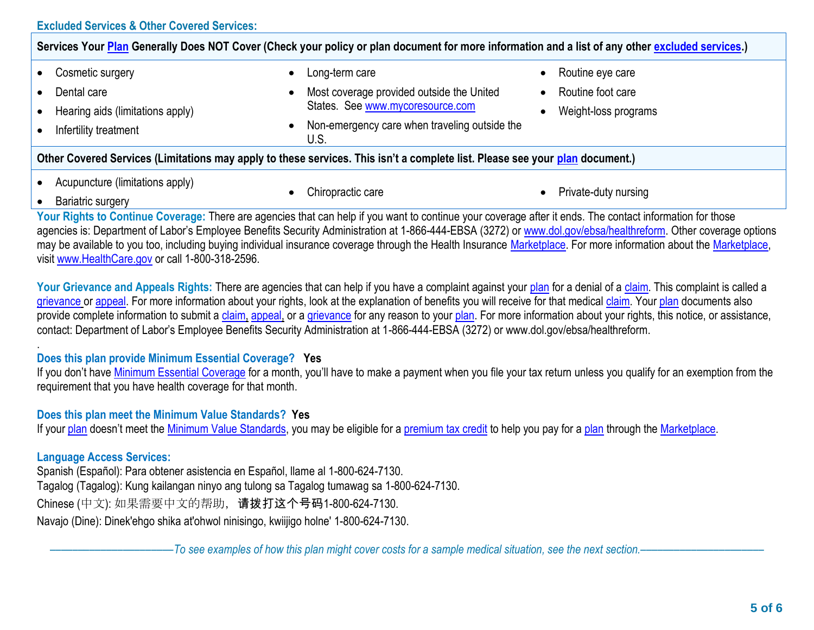|--|

| Services Your Plan Generally Does NOT Cover (Check your policy or plan document for more information and a list of any other excluded services.) |                                                                    |                                |  |
|--------------------------------------------------------------------------------------------------------------------------------------------------|--------------------------------------------------------------------|--------------------------------|--|
| Cosmetic surgery                                                                                                                                 | Long-term care<br>$\bullet$                                        | Routine eye care               |  |
| Dental care                                                                                                                                      | Most coverage provided outside the United<br>$\bullet$             | Routine foot care<br>$\bullet$ |  |
| Hearing aids (limitations apply)                                                                                                                 | States. See www.mycoresource.com                                   | Weight-loss programs           |  |
| Infertility treatment                                                                                                                            | Non-emergency care when traveling outside the<br>$\bullet$<br>U.S. |                                |  |
| Other Covered Services (Limitations may apply to these services. This isn't a complete list. Please see your plan document.)                     |                                                                    |                                |  |
| Acupuncture (limitations apply)                                                                                                                  |                                                                    |                                |  |
| Bariatric surgery                                                                                                                                | Chiropractic care                                                  | Private-duty nursing           |  |

Your Rights to Continue Coverage: There are agencies that can help if you want to continue your coverage after it ends. The contact information for those agencies is: Department of Labor's Employee Benefits Security Administration at 1-866-444-EBSA (3272) or www.dol.gov/ebsa/healthreform. Other coverage options may be available to you too, including buying individual insurance coverage through the Health Insurance [Marketplace.](https://www.healthcare.gov/sbc-glossary/#marketplace) For more information about the [Marketplace,](https://www.healthcare.gov/sbc-glossary/#marketplace) visit [www.HealthCare.gov](http://www.healthcare.gov/) or call 1-800-318-2596.

Your Grievance and Appeals Rights: There are agencies that can help if you have a complaint against your [plan](https://www.healthcare.gov/sbc-glossary/#plan) for a denial of a [claim.](https://www.healthcare.gov/sbc-glossary/#claim) This complaint is called a [grievance](https://www.healthcare.gov/sbc-glossary/#grievance) or [appeal.](https://www.healthcare.gov/sbc-glossary/#appeal) For more information about your rights, look at the explanation of benefits you will receive for that medical [claim.](https://www.healthcare.gov/sbc-glossary/#claim) Your [plan](https://www.healthcare.gov/sbc-glossary/#plan) documents also provide complete information to submit a [claim,](https://www.healthcare.gov/sbc-glossary/#claim) [appeal,](https://www.healthcare.gov/sbc-glossary/#appeal) or a [grievance](https://www.healthcare.gov/sbc-glossary/#grievance) for any reason to your [plan.](https://www.healthcare.gov/sbc-glossary/#plan) For more information about your rights, this notice, or assistance, contact: Department of Labor's Employee Benefits Security Administration at 1-866-444-EBSA (3272) or www.dol.gov/ebsa/healthreform.

# **Does this plan provide Minimum Essential Coverage? Yes**

If you don't have [Minimum Essential Coverage](https://www.healthcare.gov/sbc-glossary/#minimum-essential-coverage) for a month, you'll have to make a payment when you file your tax return unless you qualify for an exemption from the requirement that you have health coverage for that month.

## **Does this plan meet the Minimum Value Standards? Yes**

If your [plan](https://www.healthcare.gov/sbc-glossary/#plan) doesn't meet the [Minimum Value Standards,](https://www.healthcare.gov/sbc-glossary/#minimum-value-standard) you may be eligible for a [premium tax credit](https://www.healthcare.gov/sbc-glossary/#premium-tax-credits) to help you pay for a plan through the [Marketplace.](https://www.healthcare.gov/sbc-glossary/#marketplace)

## **Language Access Services:**

.

Spanish (Español): Para obtener asistencia en Español, llame al 1-800-624-7130. Tagalog (Tagalog): Kung kailangan ninyo ang tulong sa Tagalog tumawag sa 1-800-624-7130. Chinese (中文): 如果需要中文的帮助,请拨打这个号码1-800-624-7130. Navajo (Dine): Dinek'ehgo shika at'ohwol ninisingo, kwiijigo holne' 1-800-624-7130.

––––––––––––––––––––––*To see examples of how this plan might cover costs for a sample medical situation, see the next section.–––––––––––*–––––––––––